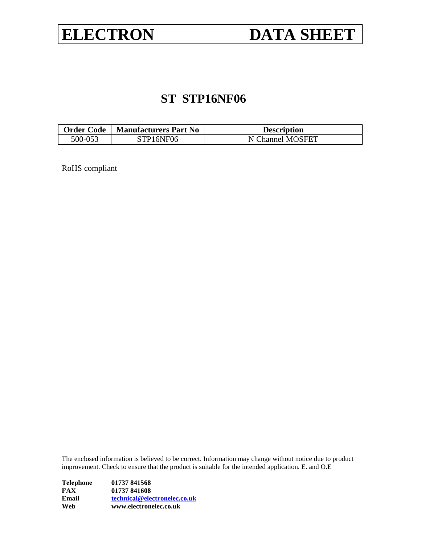# **ELECTRON DATA SHEET**

# **ST STP16NF06**

| <b>Order Code</b><br>  Manufacturers Part No |           | <b>Description</b> |
|----------------------------------------------|-----------|--------------------|
| 500-053                                      | STP16NF06 | N Channel MOSFET   |

RoHS compliant

The enclosed information is believed to be correct. Information may change without notice due to product improvement. Check to ensure that the product is suitable for the intended application. E. and O.E

| Web       | www.electronelec.co.uk       |
|-----------|------------------------------|
| Email     | technical@electronelec.co.uk |
| FAX       | 01737 841608                 |
| Telephone | 01737 841568                 |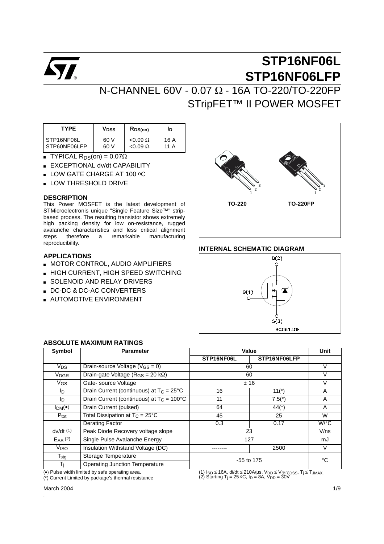

# **STP16NF06L STP16NF06LFP**

## N-CHANNEL 60V - 0.07 Ω - 16A TO-220/TO-220FP STripFET<sup>™</sup> II POWER MOSFET

| <b>TYPE</b>  | V <sub>DSS</sub> | RDS(on)         | ID   |
|--------------|------------------|-----------------|------|
| STP16NF06L   | 60 V             | $< 0.09 \Omega$ | 16 A |
| STP60NF06LFP | 60 V             | $< 0.09 \Omega$ | 11 A |

- **TYPICAL R**<sub>DS</sub>(on) =  $0.07\Omega$
- EXCEPTIONAL dv/dt CAPABILITY
- LOW GATE CHARGE AT 100 °C
- LOW THRESHOLD DRIVE

#### **DESCRIPTION**

This Power MOSFET is the latest development of STMicroelectronis unique "Single Feature Size™" stripbased process. The resulting transistor shows extremely high packing density for low on-resistance, rugged avalanche characteristics and less critical alignment therefore a remarkable manufacturing reproducibility.

#### **APPLICATIONS**

- **B** MOTOR CONTROL, AUDIO AMPLIFIERS
- HIGH CURRENT, HIGH SPEED SWITCHING
- **B** SOLENOID AND RELAY DRIVERS
- DC-DC & DC-AC CONVERTERS
- AUTOMOTIVE ENVIRONMENT



#### **INTERNAL SCHEMATIC DIAGRAM**



#### **ABSOLUTE MAXIMUM RATINGS**

| Symbol                               | <b>Parameter</b>                                                                                       |              | Value                                                                                                                                                                                                                |                    |
|--------------------------------------|--------------------------------------------------------------------------------------------------------|--------------|----------------------------------------------------------------------------------------------------------------------------------------------------------------------------------------------------------------------|--------------------|
|                                      |                                                                                                        | STP16NF06L   | STP16NF06LFP                                                                                                                                                                                                         |                    |
| $V_{DS}$                             | Drain-source Voltage ( $V_{GS} = 0$ )                                                                  |              | 60                                                                                                                                                                                                                   | V                  |
| <b>V<sub>DGR</sub></b>               | Drain-gate Voltage ( $R_{GS}$ = 20 k $\Omega$ )                                                        |              | 60                                                                                                                                                                                                                   | V                  |
| VGS                                  | Gate-source Voltage                                                                                    |              | ±16                                                                                                                                                                                                                  | ٧                  |
| l <sub>D</sub>                       | Drain Current (continuous) at $T_C = 25^{\circ}C$                                                      | 16           | $11(*)$                                                                                                                                                                                                              | A                  |
| l <sub>D</sub>                       | Drain Current (continuous) at $T_c = 100^{\circ}$ C                                                    | 11           | $7.5(*)$                                                                                                                                                                                                             | A                  |
| $I_{DM}(\bullet)$                    | Drain Current (pulsed)                                                                                 | 64           | $44(*)$                                                                                                                                                                                                              | A                  |
| $P_{\text{tot}}$                     | Total Dissipation at $T_C = 25^{\circ}C$                                                               | 45           | 25                                                                                                                                                                                                                   | W                  |
|                                      | <b>Derating Factor</b>                                                                                 | 0.3          | 0.17                                                                                                                                                                                                                 | $W$ <sup>o</sup> C |
| $dv/dt$ (1)                          | Peak Diode Recovery voltage slope                                                                      |              | 23                                                                                                                                                                                                                   | V/ns               |
| $E_{AS}$ (2)                         | Single Pulse Avalanche Energy                                                                          |              | 127                                                                                                                                                                                                                  | mJ                 |
| V <sub>ISO</sub>                     | Insulation Withstand Voltage (DC)                                                                      |              | 2500                                                                                                                                                                                                                 | V                  |
| $T_{\rm stg}$<br>Storage Temperature |                                                                                                        |              |                                                                                                                                                                                                                      | °C                 |
| Тi                                   | <b>Operating Junction Temperature</b>                                                                  | $-55$ to 175 |                                                                                                                                                                                                                      |                    |
|                                      | (•) Pulse width limited by safe operating area.<br>(*) Current Limited by package's thermal resistance |              | (1) Isp $\leq$ 16A, di/dt $\leq$ 210A/µs, V <sub>DD</sub> $\leq$ V <sub>(BR)</sub> pss, T <sub>j</sub> $\leq$ T <sub>JMAX</sub> .<br>(2) Starting T <sub>j</sub> = 25 °C, I <sub>D</sub> = 8A, V <sub>DD</sub> = 30V |                    |

(\*) Current Limited by package's thermal resistance

March 2004 1/9

.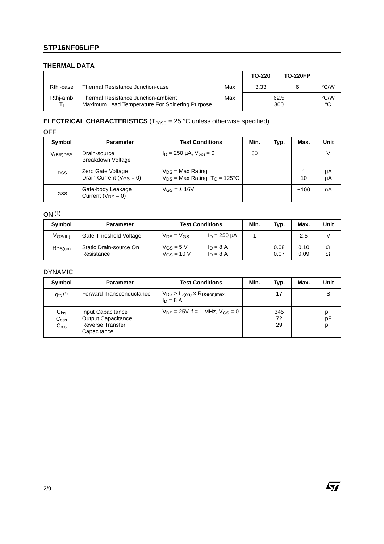#### **THERMAL DATA**

|           |                                                                                       |     | TO-220      | <b>TO-220FP</b> |            |
|-----------|---------------------------------------------------------------------------------------|-----|-------------|-----------------|------------|
| Rthj-case | Thermal Resistance Junction-case                                                      | Max | 3.33        |                 | °C/W       |
| Rthi-amb  | Thermal Resistance Junction-ambient<br>Maximum Lead Temperature For Soldering Purpose | Max | 62.5<br>300 |                 | °C/W<br>°C |

#### **ELECTRICAL CHARACTERISTICS**  $(T_{\text{case}} = 25 \text{ °C}$  unless otherwise specified)

OFF

| Symbol                  | <b>Parameter</b>                                            | <b>Test Conditions</b>                                                | Min. | Typ. | Max. | Unit     |
|-------------------------|-------------------------------------------------------------|-----------------------------------------------------------------------|------|------|------|----------|
| V <sub>(BR)</sub> DSS   | Drain-source<br><b>Breakdown Voltage</b>                    | $I_D = 250 \mu A$ , $V_{GS} = 0$                                      | 60   |      |      |          |
| <b>I</b> <sub>DSS</sub> | Zero Gate Voltage<br>Drain Current ( $V$ <sub>GS</sub> = 0) | $V_{DS}$ = Max Rating<br>$V_{DS}$ = Max Rating T <sub>C</sub> = 125°C |      |      | 10   | μA<br>μA |
| I <sub>GSS</sub>        | Gate-body Leakage<br>Current $(V_{DS} = 0)$                 | $V$ <sub>GS</sub> = $\pm$ 16V                                         |      |      | ±100 | nA       |

ON (1**)**

| <b>Symbol</b> | <b>Parameter</b>                     | <b>Test Conditions</b>                     |                           | Min. | Typ.         | Max.         | Unit   |
|---------------|--------------------------------------|--------------------------------------------|---------------------------|------|--------------|--------------|--------|
| $V$ GS(th)    | Gate Threshold Voltage               | $V_{DS} = V_{GS}$                          | $I_D = 250 \mu A$         |      |              | 2.5          |        |
| $R_{DS(on)}$  | Static Drain-source On<br>Resistance | $V_{GS} = 5 V$<br>$V$ <sub>GS</sub> = 10 V | $I_D = 8 A$<br>$ln = 8$ A |      | 0.08<br>0.07 | 0.10<br>0.09 | Ω<br>Ω |

#### DYNAMIC

| Symbol                                            | <b>Parameter</b>                                                                         | <b>Test Conditions</b>                                    | Min. | Typ.            | Max. | Unit           |
|---------------------------------------------------|------------------------------------------------------------------------------------------|-----------------------------------------------------------|------|-----------------|------|----------------|
| $g_{\text{fs}}$ $(*)$                             | <b>Forward Transconductance</b>                                                          | $V_{DS}$ > $I_{D(on)}$ x $R_{DS(on)max}$ ,<br>$I_D = 8 A$ |      | 17              |      | S              |
| $C_{iss}$<br>C <sub>oss</sub><br>C <sub>rss</sub> | Input Capacitance<br><b>Output Capacitance</b><br><b>Reverse Transfer</b><br>Capacitance | $V_{DS} = 25V$ , f = 1 MHz, $V_{GS} = 0$                  |      | 345<br>72<br>29 |      | рF<br>pF<br>pF |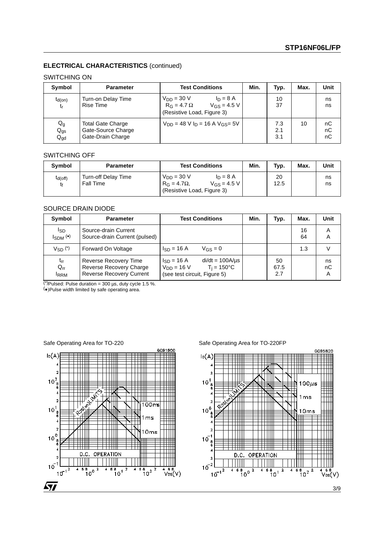#### **ELECTRICAL CHARACTERISTICS** (continued)

#### SWITCHING ON

| Symbol                        | <b>Parameter</b>                                                    | <b>Test Conditions</b>                                                                                 | Min. | Typ.              | Max. | Unit           |
|-------------------------------|---------------------------------------------------------------------|--------------------------------------------------------------------------------------------------------|------|-------------------|------|----------------|
| $t_{d(on)}$<br>t <sub>r</sub> | Turn-on Delay Time<br>Rise Time                                     | $V_{DD} = 30 V$<br>$I_D = 8 A$<br>$V_{GS} = 4.5 V$<br>$R_G = 4.7 \Omega$<br>(Resistive Load, Figure 3) |      | 10<br>37          |      | ns<br>ns       |
| $Q_g$<br>$Q_{gs}$<br>$Q_{gd}$ | <b>Total Gate Charge</b><br>Gate-Source Charge<br>Gate-Drain Charge | $V_{DD} = 48 V I_D = 16 A V_{GS} = 5V$                                                                 |      | 7.3<br>2.1<br>3.1 | 10   | nC<br>nC<br>nC |

#### SWITCHING OFF

| Symbol             | <b>Parameter</b>                        | <b>Test Conditions</b>                                                                               | Min. | Typ.       | Max. | Unit     |
|--------------------|-----------------------------------------|------------------------------------------------------------------------------------------------------|------|------------|------|----------|
| $t_{d(Off)}$<br>t۴ | Turn-off Delay Time<br><b>Fall Time</b> | $V_{DD} = 30 V$<br>$ln = 8$ A<br>$V_{GS} = 4.5 V$<br>$R_G = 4.7\Omega$<br>(Resistive Load, Figure 3) |      | 20<br>12.5 |      | ns<br>ns |

#### SOURCE DRAIN DIODE

| Symbol                              | <b>Parameter</b>                                                                    | <b>Test Conditions</b>                                                                                             | Min. | Typ.              | Max.     | Unit          |
|-------------------------------------|-------------------------------------------------------------------------------------|--------------------------------------------------------------------------------------------------------------------|------|-------------------|----------|---------------|
| <sub>ISD</sub><br>$I_{SDM}$ $(•)$   | Source-drain Current<br>Source-drain Current (pulsed)                               |                                                                                                                    |      |                   | 16<br>64 | Α<br>А        |
| Vsn <sup>(*)</sup>                  | Forward On Voltage                                                                  | $I_{SD} = 16 A$<br>$V_{GS} = 0$                                                                                    |      |                   | 1.3      |               |
| $t_{rr}$<br>$Q_{rr}$<br><b>IRRM</b> | Reverse Recovery Time<br>Reverse Recovery Charge<br><b>Reverse Recovery Current</b> | $di/dt = 100A/\mu s$<br>$I_{SD} = 16 A$<br>$T_i = 150^{\circ}C$<br>$V_{DD} = 16 V$<br>(see test circuit, Figure 5) |      | 50<br>67.5<br>2.7 |          | ns<br>nC<br>Α |

 $(*)$ Pulsed: Pulse duration = 300 µs, duty cycle 1.5 %.

(•)Pulse width limited by safe operating area.

Safe Operating Area for TO-220 Safe Operating Area for TO-220FP

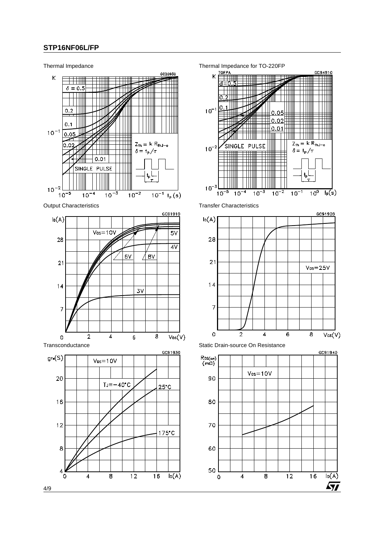



 $\overline{SI}$ 

4/9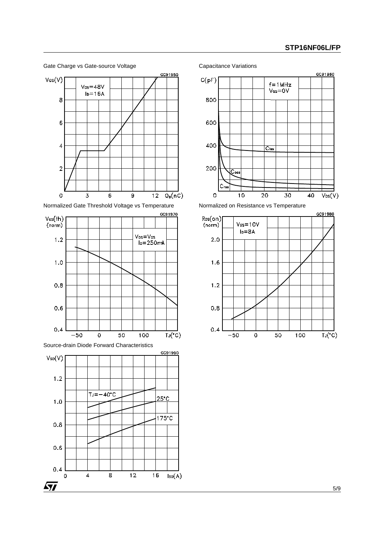



Source-drain Diode Forward Characteristics





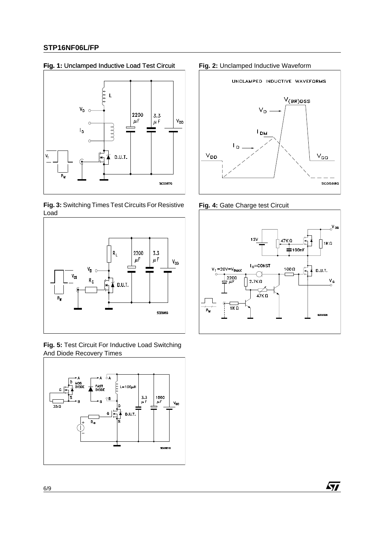#### **Fig. 1:** Unclamped Inductive Load Test Circuit **Fig. 2:** Unclamped Inductive Waveform



**Fig. 3:** Switching Times Test Circuits For Resistive Load



**Fig. 5:** Test Circuit For Inductive Load Switching And Diode Recovery Times





**Fig. 4:** Gate Charge test Circuit



 $\sqrt{1}$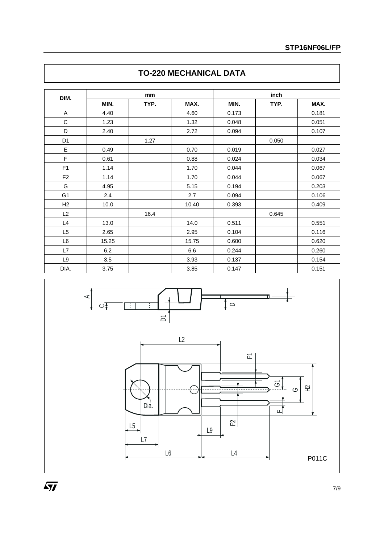| DIM.           |       | mm   |       |       | inch  |       |
|----------------|-------|------|-------|-------|-------|-------|
|                | MIN.  | TYP. | MAX.  | MIN.  | TYP.  | MAX.  |
| Α              | 4.40  |      | 4.60  | 0.173 |       | 0.181 |
| C              | 1.23  |      | 1.32  | 0.048 |       | 0.051 |
| D              | 2.40  |      | 2.72  | 0.094 |       | 0.107 |
| D <sub>1</sub> |       | 1.27 |       |       | 0.050 |       |
| E              | 0.49  |      | 0.70  | 0.019 |       | 0.027 |
| F              | 0.61  |      | 0.88  | 0.024 |       | 0.034 |
| F1             | 1.14  |      | 1.70  | 0.044 |       | 0.067 |
| F <sub>2</sub> | 1.14  |      | 1.70  | 0.044 |       | 0.067 |
| G              | 4.95  |      | 5.15  | 0.194 |       | 0.203 |
| G <sub>1</sub> | 2.4   |      | 2.7   | 0.094 |       | 0.106 |
| H <sub>2</sub> | 10.0  |      | 10.40 | 0.393 |       | 0.409 |
| L2             |       | 16.4 |       |       | 0.645 |       |
| L4             | 13.0  |      | 14.0  | 0.511 |       | 0.551 |
| L <sub>5</sub> | 2.65  |      | 2.95  | 0.104 |       | 0.116 |
| L6             | 15.25 |      | 15.75 | 0.600 |       | 0.620 |
| L7             | 6.2   |      | 6.6   | 0.244 |       | 0.260 |
| L9             | 3.5   |      | 3.93  | 0.137 |       | 0.154 |
| DIA.           | 3.75  |      | 3.85  | 0.147 |       | 0.151 |

## **TO-220 MECHANICAL DATA**



 $\overline{M}$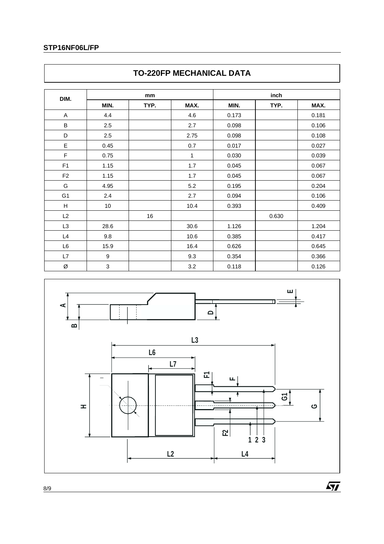| DIM.           | mm                        |      |              | inch  |       |       |
|----------------|---------------------------|------|--------------|-------|-------|-------|
|                | MIN.                      | TYP. | MAX.         | MIN.  | TYP.  | MAX.  |
| A              | 4.4                       |      | 4.6          | 0.173 |       | 0.181 |
| $\sf B$        | 2.5                       |      | 2.7          | 0.098 |       | 0.106 |
| D              | 2.5                       |      | 2.75         | 0.098 |       | 0.108 |
| E              | 0.45                      |      | 0.7          | 0.017 |       | 0.027 |
| $\mathsf F$    | 0.75                      |      | $\mathbf{1}$ | 0.030 |       | 0.039 |
| F <sub>1</sub> | 1.15                      |      | 1.7          | 0.045 |       | 0.067 |
| F <sub>2</sub> | 1.15                      |      | 1.7          | 0.045 |       | 0.067 |
| G              | 4.95                      |      | 5.2          | 0.195 |       | 0.204 |
| G <sub>1</sub> | 2.4                       |      | 2.7          | 0.094 |       | 0.106 |
| H              | $10$                      |      | 10.4         | 0.393 |       | 0.409 |
| L2             |                           | 16   |              |       | 0.630 |       |
| L3             | 28.6                      |      | 30.6         | 1.126 |       | 1.204 |
| L4             | 9.8                       |      | 10.6         | 0.385 |       | 0.417 |
| L6             | 15.9                      |      | 16.4         | 0.626 |       | 0.645 |
| L7             | $\boldsymbol{9}$          |      | 9.3          | 0.354 |       | 0.366 |
| Ø              | $\ensuremath{\mathsf{3}}$ |      | 3.2          | 0.118 |       | 0.126 |





 $\sqrt{M}$ 

8/9